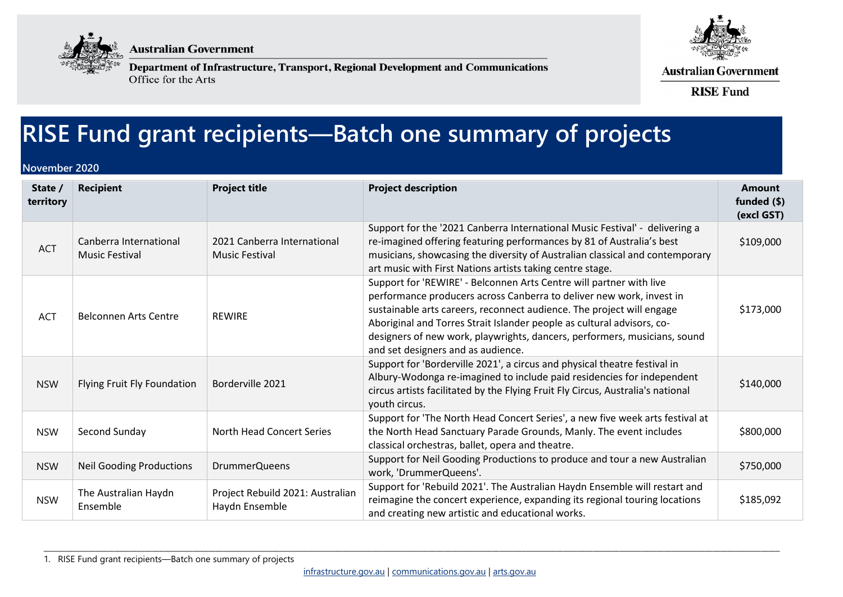

**Australian Government** 



Department of Infrastructure, Transport, Regional Development and Communications Office for the Arts

**Australian Government** 

**RISE Fund** 

## **RISE Fund grant recipients—Batch one summary of projects**

## **November 2020**

| State /<br>territory | <b>Recipient</b>                                | <b>Project title</b>                                 | <b>Project description</b>                                                                                                                                                                                                                                                                                                                                                                                        | <b>Amount</b><br>funded (\$)<br>(excl GST) |
|----------------------|-------------------------------------------------|------------------------------------------------------|-------------------------------------------------------------------------------------------------------------------------------------------------------------------------------------------------------------------------------------------------------------------------------------------------------------------------------------------------------------------------------------------------------------------|--------------------------------------------|
| <b>ACT</b>           | Canberra International<br><b>Music Festival</b> | 2021 Canberra International<br><b>Music Festival</b> | Support for the '2021 Canberra International Music Festival' - delivering a<br>re-imagined offering featuring performances by 81 of Australia's best<br>musicians, showcasing the diversity of Australian classical and contemporary<br>art music with First Nations artists taking centre stage.                                                                                                                 | \$109,000                                  |
| ACT                  | <b>Belconnen Arts Centre</b>                    | <b>REWIRE</b>                                        | Support for 'REWIRE' - Belconnen Arts Centre will partner with live<br>performance producers across Canberra to deliver new work, invest in<br>sustainable arts careers, reconnect audience. The project will engage<br>Aboriginal and Torres Strait Islander people as cultural advisors, co-<br>designers of new work, playwrights, dancers, performers, musicians, sound<br>and set designers and as audience. | \$173,000                                  |
| <b>NSW</b>           | Flying Fruit Fly Foundation                     | Borderville 2021                                     | Support for 'Borderville 2021', a circus and physical theatre festival in<br>Albury-Wodonga re-imagined to include paid residencies for independent<br>circus artists facilitated by the Flying Fruit Fly Circus, Australia's national<br>youth circus.                                                                                                                                                           | \$140,000                                  |
| <b>NSW</b>           | Second Sunday                                   | North Head Concert Series                            | Support for 'The North Head Concert Series', a new five week arts festival at<br>the North Head Sanctuary Parade Grounds, Manly. The event includes<br>classical orchestras, ballet, opera and theatre.                                                                                                                                                                                                           | \$800,000                                  |
| <b>NSW</b>           | <b>Neil Gooding Productions</b>                 | <b>DrummerQueens</b>                                 | Support for Neil Gooding Productions to produce and tour a new Australian<br>work, 'DrummerQueens'.                                                                                                                                                                                                                                                                                                               | \$750,000                                  |
| <b>NSW</b>           | The Australian Haydn<br>Ensemble                | Project Rebuild 2021: Australian<br>Haydn Ensemble   | Support for 'Rebuild 2021'. The Australian Haydn Ensemble will restart and<br>reimagine the concert experience, expanding its regional touring locations<br>and creating new artistic and educational works.                                                                                                                                                                                                      | \$185,092                                  |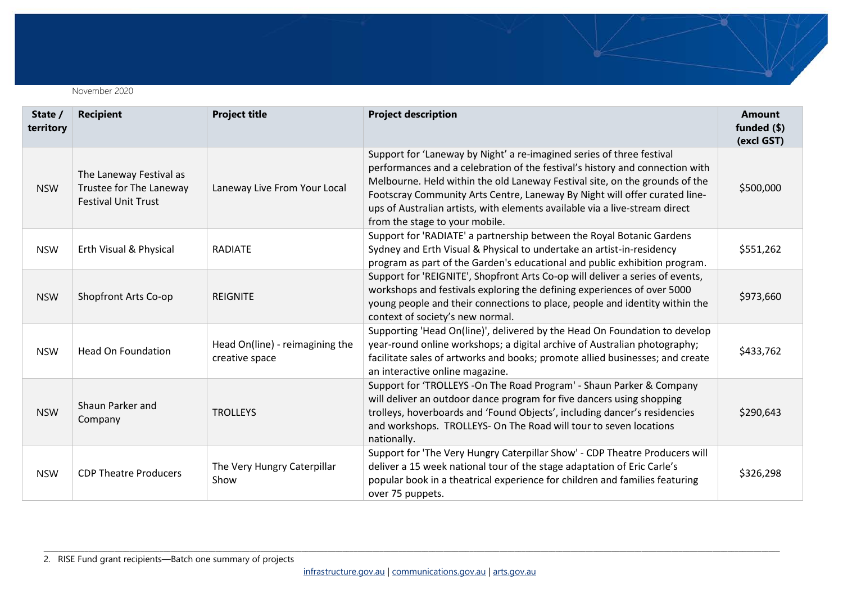November 2020

| State /<br>territory | <b>Recipient</b>                                                                 | <b>Project title</b>                              | <b>Project description</b>                                                                                                                                                                                                                                                                                                                                                                                                          | <b>Amount</b><br>funded $(\$)$<br>(excl GST) |
|----------------------|----------------------------------------------------------------------------------|---------------------------------------------------|-------------------------------------------------------------------------------------------------------------------------------------------------------------------------------------------------------------------------------------------------------------------------------------------------------------------------------------------------------------------------------------------------------------------------------------|----------------------------------------------|
| <b>NSW</b>           | The Laneway Festival as<br>Trustee for The Laneway<br><b>Festival Unit Trust</b> | Laneway Live From Your Local                      | Support for 'Laneway by Night' a re-imagined series of three festival<br>performances and a celebration of the festival's history and connection with<br>Melbourne. Held within the old Laneway Festival site, on the grounds of the<br>Footscray Community Arts Centre, Laneway By Night will offer curated line-<br>ups of Australian artists, with elements available via a live-stream direct<br>from the stage to your mobile. | \$500,000                                    |
| <b>NSW</b>           | Erth Visual & Physical                                                           | <b>RADIATE</b>                                    | Support for 'RADIATE' a partnership between the Royal Botanic Gardens<br>Sydney and Erth Visual & Physical to undertake an artist-in-residency<br>program as part of the Garden's educational and public exhibition program.                                                                                                                                                                                                        | \$551,262                                    |
| <b>NSW</b>           | Shopfront Arts Co-op                                                             | <b>REIGNITE</b>                                   | Support for 'REIGNITE', Shopfront Arts Co-op will deliver a series of events,<br>workshops and festivals exploring the defining experiences of over 5000<br>young people and their connections to place, people and identity within the<br>context of society's new normal.                                                                                                                                                         | \$973,660                                    |
| <b>NSW</b>           | <b>Head On Foundation</b>                                                        | Head On(line) - reimagining the<br>creative space | Supporting 'Head On(line)', delivered by the Head On Foundation to develop<br>year-round online workshops; a digital archive of Australian photography;<br>facilitate sales of artworks and books; promote allied businesses; and create<br>an interactive online magazine.                                                                                                                                                         | \$433,762                                    |
| <b>NSW</b>           | Shaun Parker and<br>Company                                                      | <b>TROLLEYS</b>                                   | Support for 'TROLLEYS -On The Road Program' - Shaun Parker & Company<br>will deliver an outdoor dance program for five dancers using shopping<br>trolleys, hoverboards and 'Found Objects', including dancer's residencies<br>and workshops. TROLLEYS- On The Road will tour to seven locations<br>nationally.                                                                                                                      | \$290,643                                    |
| <b>NSW</b>           | <b>CDP Theatre Producers</b>                                                     | The Very Hungry Caterpillar<br>Show               | Support for 'The Very Hungry Caterpillar Show' - CDP Theatre Producers will<br>deliver a 15 week national tour of the stage adaptation of Eric Carle's<br>popular book in a theatrical experience for children and families featuring<br>over 75 puppets.                                                                                                                                                                           | \$326,298                                    |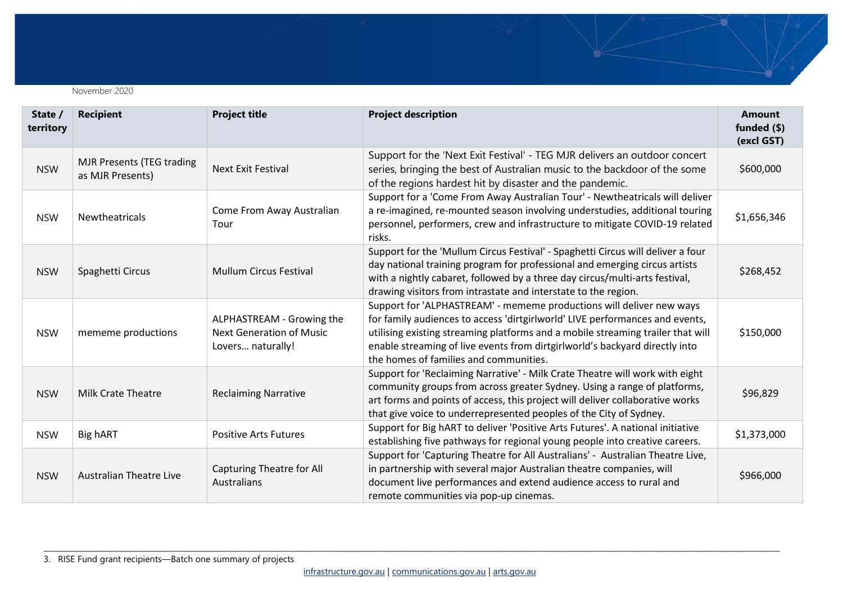November 2020

| State /<br>territory | <b>Recipient</b>                                     | <b>Project title</b>                                                              | <b>Project description</b>                                                                                                                                                                                                                                                                                                                                       | <b>Amount</b><br>funded (\$)<br>(excl GST) |
|----------------------|------------------------------------------------------|-----------------------------------------------------------------------------------|------------------------------------------------------------------------------------------------------------------------------------------------------------------------------------------------------------------------------------------------------------------------------------------------------------------------------------------------------------------|--------------------------------------------|
| <b>NSW</b>           | <b>MJR Presents (TEG trading</b><br>as MJR Presents) | <b>Next Exit Festival</b>                                                         | Support for the 'Next Exit Festival' - TEG MJR delivers an outdoor concert<br>series, bringing the best of Australian music to the backdoor of the some<br>of the regions hardest hit by disaster and the pandemic.                                                                                                                                              | \$600,000                                  |
| <b>NSW</b>           | Newtheatricals                                       | Come From Away Australian<br>Tour                                                 | Support for a 'Come From Away Australian Tour' - Newtheatricals will deliver<br>a re-imagined, re-mounted season involving understudies, additional touring<br>personnel, performers, crew and infrastructure to mitigate COVID-19 related<br>risks.                                                                                                             | \$1,656,346                                |
| <b>NSW</b>           | Spaghetti Circus                                     | <b>Mullum Circus Festival</b>                                                     | Support for the 'Mullum Circus Festival' - Spaghetti Circus will deliver a four<br>day national training program for professional and emerging circus artists<br>with a nightly cabaret, followed by a three day circus/multi-arts festival,<br>drawing visitors from intrastate and interstate to the region.                                                   | \$268,452                                  |
| <b>NSW</b>           | mememe productions                                   | ALPHASTREAM - Growing the<br><b>Next Generation of Music</b><br>Lovers naturally! | Support for 'ALPHASTREAM' - mememe productions will deliver new ways<br>for family audiences to access 'dirtgirlworld' LIVE performances and events,<br>utilising existing streaming platforms and a mobile streaming trailer that will<br>enable streaming of live events from dirtgirlworld's backyard directly into<br>the homes of families and communities. | \$150,000                                  |
| <b>NSW</b>           | <b>Milk Crate Theatre</b>                            | <b>Reclaiming Narrative</b>                                                       | Support for 'Reclaiming Narrative' - Milk Crate Theatre will work with eight<br>community groups from across greater Sydney. Using a range of platforms,<br>art forms and points of access, this project will deliver collaborative works<br>that give voice to underrepresented peoples of the City of Sydney.                                                  | \$96,829                                   |
| <b>NSW</b>           | Big hART                                             | <b>Positive Arts Futures</b>                                                      | Support for Big hART to deliver 'Positive Arts Futures'. A national initiative<br>establishing five pathways for regional young people into creative careers.                                                                                                                                                                                                    | \$1,373,000                                |
| <b>NSW</b>           | <b>Australian Theatre Live</b>                       | Capturing Theatre for All<br>Australians                                          | Support for 'Capturing Theatre for All Australians' - Australian Theatre Live,<br>in partnership with several major Australian theatre companies, will<br>document live performances and extend audience access to rural and<br>remote communities via pop-up cinemas.                                                                                           | \$966,000                                  |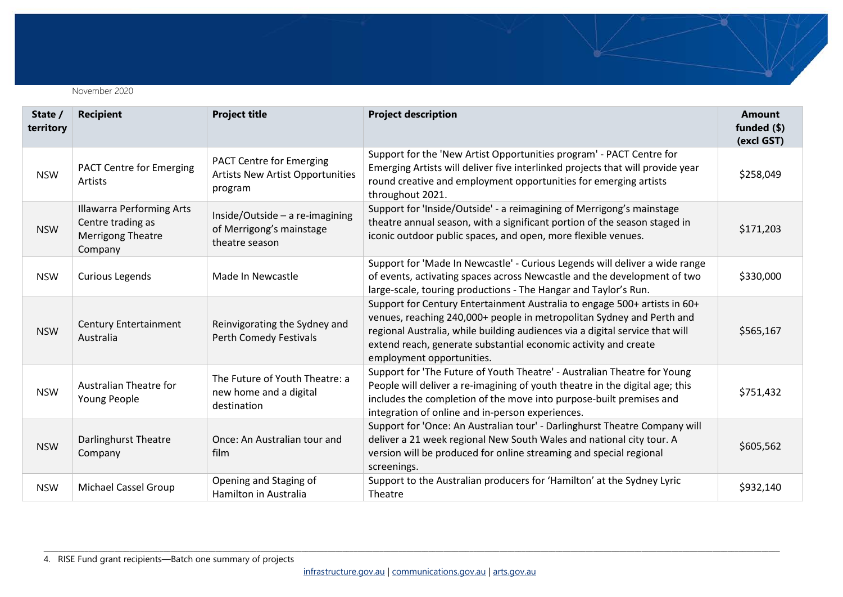

| State /<br>territory | <b>Recipient</b>                                                                             | <b>Project title</b>                                                                  | <b>Project description</b>                                                                                                                                                                                                                                                                                                         | <b>Amount</b><br>funded $(\$)$<br>(excl GST) |
|----------------------|----------------------------------------------------------------------------------------------|---------------------------------------------------------------------------------------|------------------------------------------------------------------------------------------------------------------------------------------------------------------------------------------------------------------------------------------------------------------------------------------------------------------------------------|----------------------------------------------|
| <b>NSW</b>           | <b>PACT Centre for Emerging</b><br><b>Artists</b>                                            | <b>PACT Centre for Emerging</b><br><b>Artists New Artist Opportunities</b><br>program | Support for the 'New Artist Opportunities program' - PACT Centre for<br>Emerging Artists will deliver five interlinked projects that will provide year<br>round creative and employment opportunities for emerging artists<br>throughout 2021.                                                                                     | \$258,049                                    |
| <b>NSW</b>           | <b>Illawarra Performing Arts</b><br>Centre trading as<br><b>Merrigong Theatre</b><br>Company | Inside/Outside - a re-imagining<br>of Merrigong's mainstage<br>theatre season         | Support for 'Inside/Outside' - a reimagining of Merrigong's mainstage<br>theatre annual season, with a significant portion of the season staged in<br>iconic outdoor public spaces, and open, more flexible venues.                                                                                                                | \$171,203                                    |
| <b>NSW</b>           | <b>Curious Legends</b>                                                                       | Made In Newcastle                                                                     | Support for 'Made In Newcastle' - Curious Legends will deliver a wide range<br>of events, activating spaces across Newcastle and the development of two<br>large-scale, touring productions - The Hangar and Taylor's Run.                                                                                                         | \$330,000                                    |
| <b>NSW</b>           | <b>Century Entertainment</b><br>Australia                                                    | Reinvigorating the Sydney and<br>Perth Comedy Festivals                               | Support for Century Entertainment Australia to engage 500+ artists in 60+<br>venues, reaching 240,000+ people in metropolitan Sydney and Perth and<br>regional Australia, while building audiences via a digital service that will<br>extend reach, generate substantial economic activity and create<br>employment opportunities. | \$565,167                                    |
| <b>NSW</b>           | Australian Theatre for<br>Young People                                                       | The Future of Youth Theatre: a<br>new home and a digital<br>destination               | Support for 'The Future of Youth Theatre' - Australian Theatre for Young<br>People will deliver a re-imagining of youth theatre in the digital age; this<br>includes the completion of the move into purpose-built premises and<br>integration of online and in-person experiences.                                                | \$751,432                                    |
| <b>NSW</b>           | Darlinghurst Theatre<br>Company                                                              | Once: An Australian tour and<br>film                                                  | Support for 'Once: An Australian tour' - Darlinghurst Theatre Company will<br>deliver a 21 week regional New South Wales and national city tour. A<br>version will be produced for online streaming and special regional<br>screenings.                                                                                            | \$605,562                                    |
| <b>NSW</b>           | <b>Michael Cassel Group</b>                                                                  | Opening and Staging of<br>Hamilton in Australia                                       | Support to the Australian producers for 'Hamilton' at the Sydney Lyric<br>Theatre                                                                                                                                                                                                                                                  | \$932,140                                    |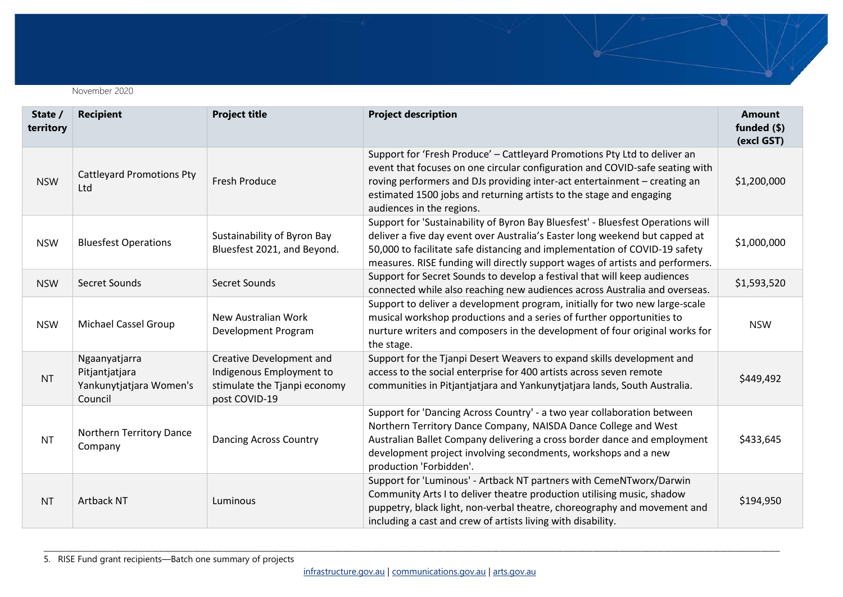November 2020

| State /<br>territory | <b>Recipient</b>                                                      | <b>Project title</b>                                                                                  | <b>Project description</b>                                                                                                                                                                                                                                                                                                                 | <b>Amount</b><br>funded (\$)<br>(excl GST) |
|----------------------|-----------------------------------------------------------------------|-------------------------------------------------------------------------------------------------------|--------------------------------------------------------------------------------------------------------------------------------------------------------------------------------------------------------------------------------------------------------------------------------------------------------------------------------------------|--------------------------------------------|
| <b>NSW</b>           | <b>Cattleyard Promotions Pty</b><br>Ltd                               | <b>Fresh Produce</b>                                                                                  | Support for 'Fresh Produce' - Cattleyard Promotions Pty Ltd to deliver an<br>event that focuses on one circular configuration and COVID-safe seating with<br>roving performers and DJs providing inter-act entertainment - creating an<br>estimated 1500 jobs and returning artists to the stage and engaging<br>audiences in the regions. | \$1,200,000                                |
| <b>NSW</b>           | <b>Bluesfest Operations</b>                                           | Sustainability of Byron Bay<br>Bluesfest 2021, and Beyond.                                            | Support for 'Sustainability of Byron Bay Bluesfest' - Bluesfest Operations will<br>deliver a five day event over Australia's Easter long weekend but capped at<br>50,000 to facilitate safe distancing and implementation of COVID-19 safety<br>measures. RISE funding will directly support wages of artists and performers.              | \$1,000,000                                |
| <b>NSW</b>           | Secret Sounds                                                         | Secret Sounds                                                                                         | Support for Secret Sounds to develop a festival that will keep audiences<br>connected while also reaching new audiences across Australia and overseas.                                                                                                                                                                                     | \$1,593,520                                |
| <b>NSW</b>           | Michael Cassel Group                                                  | New Australian Work<br>Development Program                                                            | Support to deliver a development program, initially for two new large-scale<br>musical workshop productions and a series of further opportunities to<br>nurture writers and composers in the development of four original works for<br>the stage.                                                                                          | <b>NSW</b>                                 |
| <b>NT</b>            | Ngaanyatjarra<br>Pitjantjatjara<br>Yankunytjatjara Women's<br>Council | Creative Development and<br>Indigenous Employment to<br>stimulate the Tjanpi economy<br>post COVID-19 | Support for the Tjanpi Desert Weavers to expand skills development and<br>access to the social enterprise for 400 artists across seven remote<br>communities in Pitjantjatjara and Yankunytjatjara lands, South Australia.                                                                                                                 | \$449,492                                  |
| <b>NT</b>            | Northern Territory Dance<br>Company                                   | <b>Dancing Across Country</b>                                                                         | Support for 'Dancing Across Country' - a two year collaboration between<br>Northern Territory Dance Company, NAISDA Dance College and West<br>Australian Ballet Company delivering a cross border dance and employment<br>development project involving secondments, workshops and a new<br>production 'Forbidden'.                        | \$433,645                                  |
| <b>NT</b>            | <b>Artback NT</b>                                                     | Luminous                                                                                              | Support for 'Luminous' - Artback NT partners with CemeNTworx/Darwin<br>Community Arts I to deliver theatre production utilising music, shadow<br>puppetry, black light, non-verbal theatre, choreography and movement and<br>including a cast and crew of artists living with disability.                                                  | \$194,950                                  |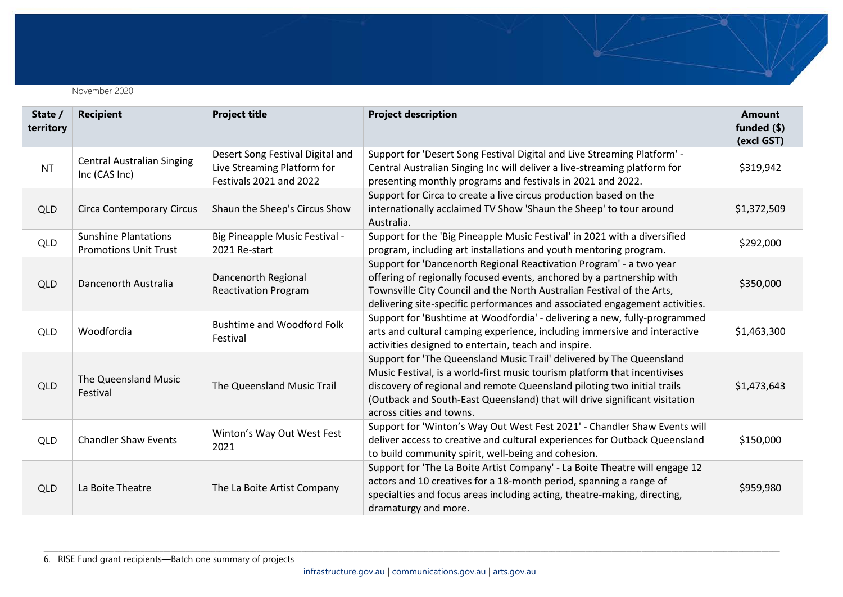

| State /<br>territory | <b>Recipient</b>                                            | <b>Project title</b>                                                                       | <b>Project description</b>                                                                                                                                                                                                                                                                                                             | <b>Amount</b><br>funded $(\$)$<br>(excl GST) |
|----------------------|-------------------------------------------------------------|--------------------------------------------------------------------------------------------|----------------------------------------------------------------------------------------------------------------------------------------------------------------------------------------------------------------------------------------------------------------------------------------------------------------------------------------|----------------------------------------------|
| <b>NT</b>            | <b>Central Australian Singing</b><br>Inc (CAS Inc)          | Desert Song Festival Digital and<br>Live Streaming Platform for<br>Festivals 2021 and 2022 | Support for 'Desert Song Festival Digital and Live Streaming Platform' -<br>Central Australian Singing Inc will deliver a live-streaming platform for<br>presenting monthly programs and festivals in 2021 and 2022.                                                                                                                   | \$319,942                                    |
| QLD                  | <b>Circa Contemporary Circus</b>                            | Shaun the Sheep's Circus Show                                                              | Support for Circa to create a live circus production based on the<br>internationally acclaimed TV Show 'Shaun the Sheep' to tour around<br>Australia.                                                                                                                                                                                  | \$1,372,509                                  |
| <b>QLD</b>           | <b>Sunshine Plantations</b><br><b>Promotions Unit Trust</b> | Big Pineapple Music Festival -<br>2021 Re-start                                            | Support for the 'Big Pineapple Music Festival' in 2021 with a diversified<br>program, including art installations and youth mentoring program.                                                                                                                                                                                         | \$292,000                                    |
| <b>QLD</b>           | Dancenorth Australia                                        | Dancenorth Regional<br><b>Reactivation Program</b>                                         | Support for 'Dancenorth Regional Reactivation Program' - a two year<br>offering of regionally focused events, anchored by a partnership with<br>Townsville City Council and the North Australian Festival of the Arts,<br>delivering site-specific performances and associated engagement activities.                                  | \$350,000                                    |
| QLD                  | Woodfordia                                                  | <b>Bushtime and Woodford Folk</b><br>Festival                                              | Support for 'Bushtime at Woodfordia' - delivering a new, fully-programmed<br>arts and cultural camping experience, including immersive and interactive<br>activities designed to entertain, teach and inspire.                                                                                                                         | \$1,463,300                                  |
| QLD                  | The Queensland Music<br>Festival                            | The Queensland Music Trail                                                                 | Support for 'The Queensland Music Trail' delivered by The Queensland<br>Music Festival, is a world-first music tourism platform that incentivises<br>discovery of regional and remote Queensland piloting two initial trails<br>(Outback and South-East Queensland) that will drive significant visitation<br>across cities and towns. | \$1,473,643                                  |
| <b>QLD</b>           | <b>Chandler Shaw Events</b>                                 | Winton's Way Out West Fest<br>2021                                                         | Support for 'Winton's Way Out West Fest 2021' - Chandler Shaw Events will<br>deliver access to creative and cultural experiences for Outback Queensland<br>to build community spirit, well-being and cohesion.                                                                                                                         | \$150,000                                    |
| QLD                  | La Boite Theatre                                            | The La Boite Artist Company                                                                | Support for 'The La Boite Artist Company' - La Boite Theatre will engage 12<br>actors and 10 creatives for a 18-month period, spanning a range of<br>specialties and focus areas including acting, theatre-making, directing,<br>dramaturgy and more.                                                                                  | \$959,980                                    |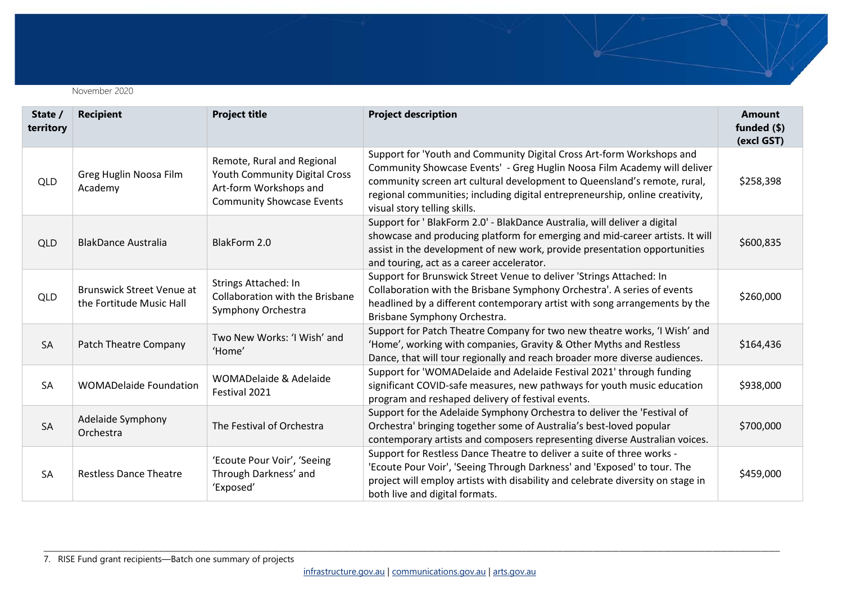

| State /<br>territory | <b>Recipient</b>                                             | <b>Project title</b>                                                                                                             | <b>Project description</b>                                                                                                                                                                                                                                                                                                                    | <b>Amount</b><br>funded (\$)<br>(excl GST) |
|----------------------|--------------------------------------------------------------|----------------------------------------------------------------------------------------------------------------------------------|-----------------------------------------------------------------------------------------------------------------------------------------------------------------------------------------------------------------------------------------------------------------------------------------------------------------------------------------------|--------------------------------------------|
| <b>QLD</b>           | Greg Huglin Noosa Film<br>Academy                            | Remote, Rural and Regional<br><b>Youth Community Digital Cross</b><br>Art-form Workshops and<br><b>Community Showcase Events</b> | Support for 'Youth and Community Digital Cross Art-form Workshops and<br>Community Showcase Events' - Greg Huglin Noosa Film Academy will deliver<br>community screen art cultural development to Queensland's remote, rural,<br>regional communities; including digital entrepreneurship, online creativity,<br>visual story telling skills. | \$258,398                                  |
| <b>QLD</b>           | <b>BlakDance Australia</b>                                   | BlakForm 2.0                                                                                                                     | Support for ' BlakForm 2.0' - BlakDance Australia, will deliver a digital<br>showcase and producing platform for emerging and mid-career artists. It will<br>assist in the development of new work, provide presentation opportunities<br>and touring, act as a career accelerator.                                                           | \$600,835                                  |
| <b>QLD</b>           | <b>Brunswick Street Venue at</b><br>the Fortitude Music Hall | Strings Attached: In<br><b>Collaboration with the Brisbane</b><br>Symphony Orchestra                                             | Support for Brunswick Street Venue to deliver 'Strings Attached: In<br>Collaboration with the Brisbane Symphony Orchestra'. A series of events<br>headlined by a different contemporary artist with song arrangements by the<br>Brisbane Symphony Orchestra.                                                                                  | \$260,000                                  |
| <b>SA</b>            | Patch Theatre Company                                        | Two New Works: 'I Wish' and<br>'Home'                                                                                            | Support for Patch Theatre Company for two new theatre works, 'I Wish' and<br>'Home', working with companies, Gravity & Other Myths and Restless<br>Dance, that will tour regionally and reach broader more diverse audiences.                                                                                                                 | \$164,436                                  |
| <b>SA</b>            | <b>WOMADelaide Foundation</b>                                | WOMADelaide & Adelaide<br>Festival 2021                                                                                          | Support for 'WOMADelaide and Adelaide Festival 2021' through funding<br>significant COVID-safe measures, new pathways for youth music education<br>program and reshaped delivery of festival events.                                                                                                                                          | \$938,000                                  |
| <b>SA</b>            | Adelaide Symphony<br>Orchestra                               | The Festival of Orchestra                                                                                                        | Support for the Adelaide Symphony Orchestra to deliver the 'Festival of<br>Orchestra' bringing together some of Australia's best-loved popular<br>contemporary artists and composers representing diverse Australian voices.                                                                                                                  | \$700,000                                  |
| <b>SA</b>            | <b>Restless Dance Theatre</b>                                | 'Ecoute Pour Voir', 'Seeing<br>Through Darkness' and<br>'Exposed'                                                                | Support for Restless Dance Theatre to deliver a suite of three works -<br>'Ecoute Pour Voir', 'Seeing Through Darkness' and 'Exposed' to tour. The<br>project will employ artists with disability and celebrate diversity on stage in<br>both live and digital formats.                                                                       | \$459,000                                  |

7. RISE Fund grant recipients—Batch one summary of projects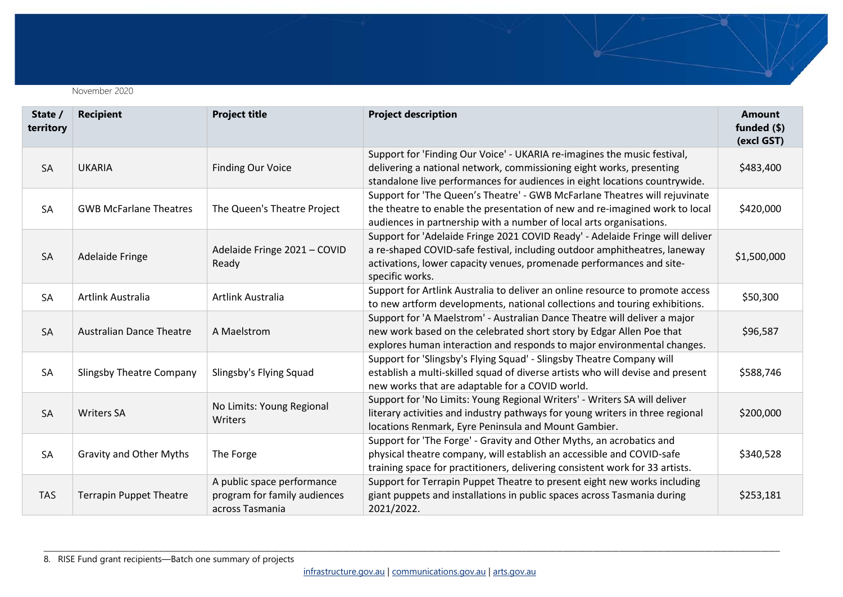

| State /<br>territory | <b>Recipient</b>                | <b>Project title</b>                                                          | <b>Project description</b>                                                                                                                                                                                                                            | <b>Amount</b><br>funded $(\$)$<br>(excl GST) |
|----------------------|---------------------------------|-------------------------------------------------------------------------------|-------------------------------------------------------------------------------------------------------------------------------------------------------------------------------------------------------------------------------------------------------|----------------------------------------------|
| <b>SA</b>            | <b>UKARIA</b>                   | <b>Finding Our Voice</b>                                                      | Support for 'Finding Our Voice' - UKARIA re-imagines the music festival,<br>delivering a national network, commissioning eight works, presenting<br>standalone live performances for audiences in eight locations countrywide.                        | \$483,400                                    |
| SA                   | <b>GWB McFarlane Theatres</b>   | The Queen's Theatre Project                                                   | Support for 'The Queen's Theatre' - GWB McFarlane Theatres will rejuvinate<br>the theatre to enable the presentation of new and re-imagined work to local<br>audiences in partnership with a number of local arts organisations.                      | \$420,000                                    |
| <b>SA</b>            | <b>Adelaide Fringe</b>          | Adelaide Fringe 2021 - COVID<br>Ready                                         | Support for 'Adelaide Fringe 2021 COVID Ready' - Adelaide Fringe will deliver<br>a re-shaped COVID-safe festival, including outdoor amphitheatres, laneway<br>activations, lower capacity venues, promenade performances and site-<br>specific works. | \$1,500,000                                  |
| SA                   | <b>Artlink Australia</b>        | <b>Artlink Australia</b>                                                      | Support for Artlink Australia to deliver an online resource to promote access<br>to new artform developments, national collections and touring exhibitions.                                                                                           | \$50,300                                     |
| SA                   | <b>Australian Dance Theatre</b> | A Maelstrom                                                                   | Support for 'A Maelstrom' - Australian Dance Theatre will deliver a major<br>new work based on the celebrated short story by Edgar Allen Poe that<br>explores human interaction and responds to major environmental changes.                          | \$96,587                                     |
| SA                   | <b>Slingsby Theatre Company</b> | Slingsby's Flying Squad                                                       | Support for 'Slingsby's Flying Squad' - Slingsby Theatre Company will<br>establish a multi-skilled squad of diverse artists who will devise and present<br>new works that are adaptable for a COVID world.                                            | \$588,746                                    |
| <b>SA</b>            | <b>Writers SA</b>               | No Limits: Young Regional<br>Writers                                          | Support for 'No Limits: Young Regional Writers' - Writers SA will deliver<br>literary activities and industry pathways for young writers in three regional<br>locations Renmark, Eyre Peninsula and Mount Gambier.                                    | \$200,000                                    |
| SA                   | <b>Gravity and Other Myths</b>  | The Forge                                                                     | Support for 'The Forge' - Gravity and Other Myths, an acrobatics and<br>physical theatre company, will establish an accessible and COVID-safe<br>training space for practitioners, delivering consistent work for 33 artists.                         | \$340,528                                    |
| <b>TAS</b>           | <b>Terrapin Puppet Theatre</b>  | A public space performance<br>program for family audiences<br>across Tasmania | Support for Terrapin Puppet Theatre to present eight new works including<br>giant puppets and installations in public spaces across Tasmania during<br>2021/2022.                                                                                     | \$253,181                                    |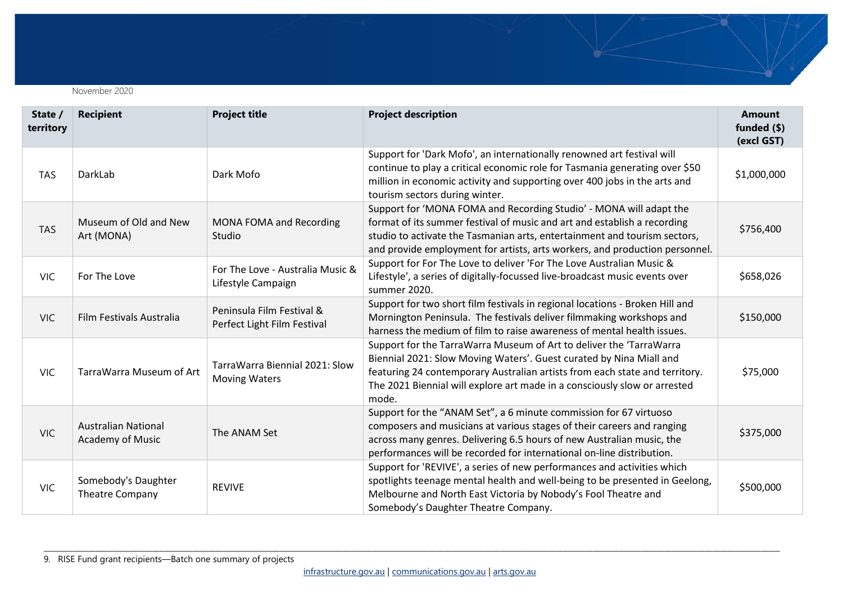

| State /<br>territory | <b>Recipient</b>                                      | <b>Project title</b>                                     | <b>Project description</b>                                                                                                                                                                                                                                                                                      | <b>Amount</b><br>funded (\$)<br>(excl GST) |
|----------------------|-------------------------------------------------------|----------------------------------------------------------|-----------------------------------------------------------------------------------------------------------------------------------------------------------------------------------------------------------------------------------------------------------------------------------------------------------------|--------------------------------------------|
| <b>TAS</b>           | DarkLab                                               | Dark Mofo                                                | Support for 'Dark Mofo', an internationally renowned art festival will<br>continue to play a critical economic role for Tasmania generating over \$50<br>million in economic activity and supporting over 400 jobs in the arts and<br>tourism sectors during winter.                                            | \$1,000,000                                |
| <b>TAS</b>           | Museum of Old and New<br>Art (MONA)                   | MONA FOMA and Recording<br>Studio                        | Support for 'MONA FOMA and Recording Studio' - MONA will adapt the<br>format of its summer festival of music and art and establish a recording<br>studio to activate the Tasmanian arts, entertainment and tourism sectors,<br>and provide employment for artists, arts workers, and production personnel.      | \$756,400                                  |
| <b>VIC</b>           | For The Love                                          | For The Love - Australia Music &<br>Lifestyle Campaign   | Support for For The Love to deliver 'For The Love Australian Music &<br>Lifestyle', a series of digitally-focussed live-broadcast music events over<br>summer 2020.                                                                                                                                             | \$658,026                                  |
| <b>VIC</b>           | Film Festivals Australia                              | Peninsula Film Festival &<br>Perfect Light Film Festival | Support for two short film festivals in regional locations - Broken Hill and<br>Mornington Peninsula. The festivals deliver filmmaking workshops and<br>harness the medium of film to raise awareness of mental health issues.                                                                                  | \$150,000                                  |
| <b>VIC</b>           | TarraWarra Museum of Art                              | TarraWarra Biennial 2021: Slow<br><b>Moving Waters</b>   | Support for the TarraWarra Museum of Art to deliver the 'TarraWarra<br>Biennial 2021: Slow Moving Waters'. Guest curated by Nina Miall and<br>featuring 24 contemporary Australian artists from each state and territory.<br>The 2021 Biennial will explore art made in a consciously slow or arrested<br>mode. | \$75,000                                   |
| <b>VIC</b>           | <b>Australian National</b><br><b>Academy of Music</b> | The ANAM Set                                             | Support for the "ANAM Set", a 6 minute commission for 67 virtuoso<br>composers and musicians at various stages of their careers and ranging<br>across many genres. Delivering 6.5 hours of new Australian music, the<br>performances will be recorded for international on-line distribution.                   | \$375,000                                  |
| <b>VIC</b>           | Somebody's Daughter<br><b>Theatre Company</b>         | <b>REVIVE</b>                                            | Support for 'REVIVE', a series of new performances and activities which<br>spotlights teenage mental health and well-being to be presented in Geelong,<br>Melbourne and North East Victoria by Nobody's Fool Theatre and<br>Somebody's Daughter Theatre Company.                                                | \$500,000                                  |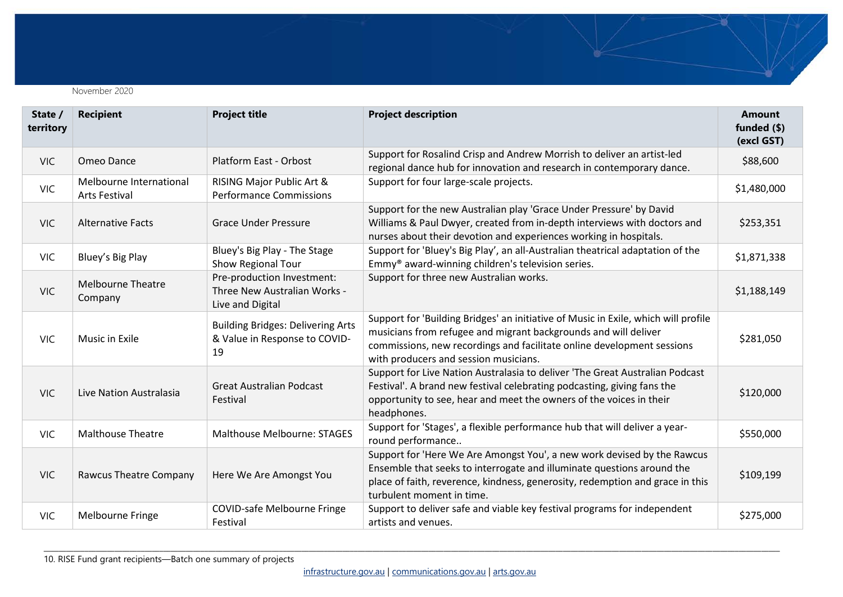

| State /<br>territory | <b>Recipient</b>                                | <b>Project title</b>                                                            | <b>Project description</b>                                                                                                                                                                                                                                               | <b>Amount</b><br>funded $(\$)$<br>(excl GST) |
|----------------------|-------------------------------------------------|---------------------------------------------------------------------------------|--------------------------------------------------------------------------------------------------------------------------------------------------------------------------------------------------------------------------------------------------------------------------|----------------------------------------------|
| <b>VIC</b>           | Omeo Dance                                      | Platform East - Orbost                                                          | Support for Rosalind Crisp and Andrew Morrish to deliver an artist-led<br>regional dance hub for innovation and research in contemporary dance.                                                                                                                          | \$88,600                                     |
| <b>VIC</b>           | Melbourne International<br><b>Arts Festival</b> | RISING Major Public Art &<br><b>Performance Commissions</b>                     | Support for four large-scale projects.                                                                                                                                                                                                                                   | \$1,480,000                                  |
| <b>VIC</b>           | <b>Alternative Facts</b>                        | <b>Grace Under Pressure</b>                                                     | Support for the new Australian play 'Grace Under Pressure' by David<br>Williams & Paul Dwyer, created from in-depth interviews with doctors and<br>nurses about their devotion and experiences working in hospitals.                                                     | \$253,351                                    |
| <b>VIC</b>           | Bluey's Big Play                                | Bluey's Big Play - The Stage<br>Show Regional Tour                              | Support for 'Bluey's Big Play', an all-Australian theatrical adaptation of the<br>Emmy <sup>®</sup> award-winning children's television series.                                                                                                                          | \$1,871,338                                  |
| <b>VIC</b>           | <b>Melbourne Theatre</b><br>Company             | Pre-production Investment:<br>Three New Australian Works -<br>Live and Digital  | Support for three new Australian works.                                                                                                                                                                                                                                  | \$1,188,149                                  |
| <b>VIC</b>           | Music in Exile                                  | <b>Building Bridges: Delivering Arts</b><br>& Value in Response to COVID-<br>19 | Support for 'Building Bridges' an initiative of Music in Exile, which will profile<br>musicians from refugee and migrant backgrounds and will deliver<br>commissions, new recordings and facilitate online development sessions<br>with producers and session musicians. | \$281,050                                    |
| <b>VIC</b>           | Live Nation Australasia                         | <b>Great Australian Podcast</b><br>Festival                                     | Support for Live Nation Australasia to deliver 'The Great Australian Podcast<br>Festival'. A brand new festival celebrating podcasting, giving fans the<br>opportunity to see, hear and meet the owners of the voices in their<br>headphones.                            | \$120,000                                    |
| <b>VIC</b>           | <b>Malthouse Theatre</b>                        | <b>Malthouse Melbourne: STAGES</b>                                              | Support for 'Stages', a flexible performance hub that will deliver a year-<br>round performance                                                                                                                                                                          | \$550,000                                    |
| <b>VIC</b>           | Rawcus Theatre Company                          | Here We Are Amongst You                                                         | Support for 'Here We Are Amongst You', a new work devised by the Rawcus<br>Ensemble that seeks to interrogate and illuminate questions around the<br>place of faith, reverence, kindness, generosity, redemption and grace in this<br>turbulent moment in time.          | \$109,199                                    |
| <b>VIC</b>           | Melbourne Fringe                                | <b>COVID-safe Melbourne Fringe</b><br>Festival                                  | Support to deliver safe and viable key festival programs for independent<br>artists and venues.                                                                                                                                                                          | \$275,000                                    |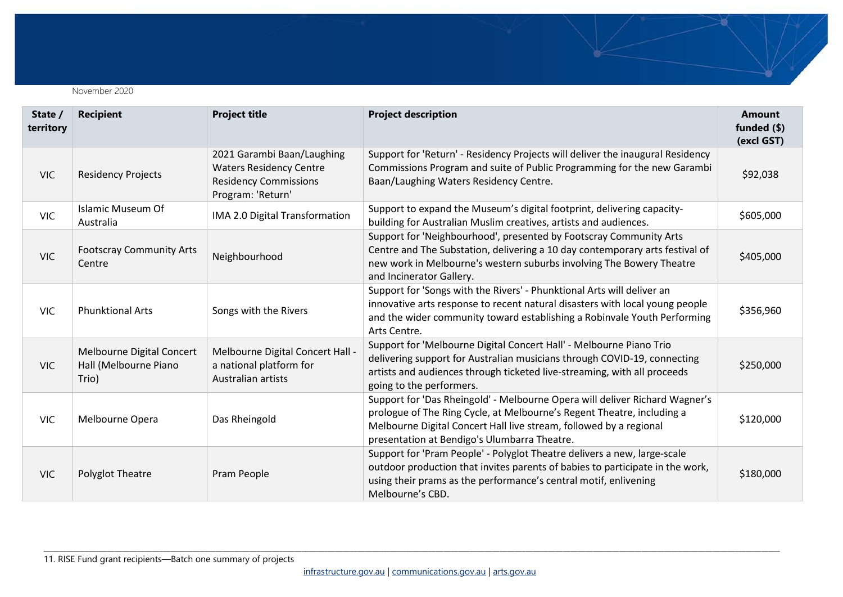

| State /<br>territory | <b>Recipient</b>                                            | <b>Project title</b>                                                                                              | <b>Project description</b>                                                                                                                                                                                                                                                  | <b>Amount</b><br>funded (\$)<br>(excl GST) |
|----------------------|-------------------------------------------------------------|-------------------------------------------------------------------------------------------------------------------|-----------------------------------------------------------------------------------------------------------------------------------------------------------------------------------------------------------------------------------------------------------------------------|--------------------------------------------|
| <b>VIC</b>           | <b>Residency Projects</b>                                   | 2021 Garambi Baan/Laughing<br><b>Waters Residency Centre</b><br><b>Residency Commissions</b><br>Program: 'Return' | Support for 'Return' - Residency Projects will deliver the inaugural Residency<br>Commissions Program and suite of Public Programming for the new Garambi<br>Baan/Laughing Waters Residency Centre.                                                                         | \$92,038                                   |
| <b>VIC</b>           | <b>Islamic Museum Of</b><br>Australia                       | IMA 2.0 Digital Transformation                                                                                    | Support to expand the Museum's digital footprint, delivering capacity-<br>building for Australian Muslim creatives, artists and audiences.                                                                                                                                  | \$605,000                                  |
| <b>VIC</b>           | <b>Footscray Community Arts</b><br>Centre                   | Neighbourhood                                                                                                     | Support for 'Neighbourhood', presented by Footscray Community Arts<br>Centre and The Substation, delivering a 10 day contemporary arts festival of<br>new work in Melbourne's western suburbs involving The Bowery Theatre<br>and Incinerator Gallery.                      | \$405,000                                  |
| <b>VIC</b>           | <b>Phunktional Arts</b>                                     | Songs with the Rivers                                                                                             | Support for 'Songs with the Rivers' - Phunktional Arts will deliver an<br>innovative arts response to recent natural disasters with local young people<br>and the wider community toward establishing a Robinvale Youth Performing<br>Arts Centre.                          | \$356,960                                  |
| <b>VIC</b>           | Melbourne Digital Concert<br>Hall (Melbourne Piano<br>Trio) | Melbourne Digital Concert Hall -<br>a national platform for<br>Australian artists                                 | Support for 'Melbourne Digital Concert Hall' - Melbourne Piano Trio<br>delivering support for Australian musicians through COVID-19, connecting<br>artists and audiences through ticketed live-streaming, with all proceeds<br>going to the performers.                     | \$250,000                                  |
| <b>VIC</b>           | Melbourne Opera                                             | Das Rheingold                                                                                                     | Support for 'Das Rheingold' - Melbourne Opera will deliver Richard Wagner's<br>prologue of The Ring Cycle, at Melbourne's Regent Theatre, including a<br>Melbourne Digital Concert Hall live stream, followed by a regional<br>presentation at Bendigo's Ulumbarra Theatre. | \$120,000                                  |
| <b>VIC</b>           | <b>Polyglot Theatre</b>                                     | Pram People                                                                                                       | Support for 'Pram People' - Polyglot Theatre delivers a new, large-scale<br>outdoor production that invites parents of babies to participate in the work,<br>using their prams as the performance's central motif, enlivening<br>Melbourne's CBD.                           | \$180,000                                  |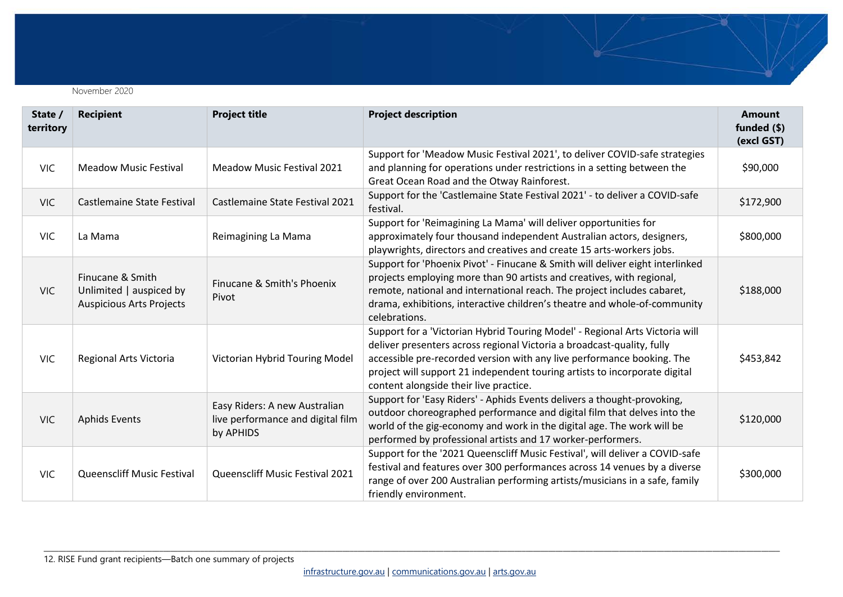

| State /<br>territory | <b>Recipient</b>                                                               | <b>Project title</b>                                                            | <b>Project description</b>                                                                                                                                                                                                                                                                                                                               | <b>Amount</b><br>funded $(\$)$<br>(excl GST) |
|----------------------|--------------------------------------------------------------------------------|---------------------------------------------------------------------------------|----------------------------------------------------------------------------------------------------------------------------------------------------------------------------------------------------------------------------------------------------------------------------------------------------------------------------------------------------------|----------------------------------------------|
| VIC.                 | <b>Meadow Music Festival</b>                                                   | Meadow Music Festival 2021                                                      | Support for 'Meadow Music Festival 2021', to deliver COVID-safe strategies<br>and planning for operations under restrictions in a setting between the<br>Great Ocean Road and the Otway Rainforest.                                                                                                                                                      | \$90,000                                     |
| VIC.                 | Castlemaine State Festival                                                     | Castlemaine State Festival 2021                                                 | Support for the 'Castlemaine State Festival 2021' - to deliver a COVID-safe<br>festival.                                                                                                                                                                                                                                                                 | \$172,900                                    |
| <b>VIC</b>           | La Mama                                                                        | Reimagining La Mama                                                             | Support for 'Reimagining La Mama' will deliver opportunities for<br>approximately four thousand independent Australian actors, designers,<br>playwrights, directors and creatives and create 15 arts-workers jobs.                                                                                                                                       | \$800,000                                    |
| <b>VIC</b>           | Finucane & Smith<br>Unlimited   auspiced by<br><b>Auspicious Arts Projects</b> | Finucane & Smith's Phoenix<br>Pivot                                             | Support for 'Phoenix Pivot' - Finucane & Smith will deliver eight interlinked<br>projects employing more than 90 artists and creatives, with regional,<br>remote, national and international reach. The project includes cabaret,<br>drama, exhibitions, interactive children's theatre and whole-of-community<br>celebrations.                          | \$188,000                                    |
| <b>VIC</b>           | Regional Arts Victoria                                                         | Victorian Hybrid Touring Model                                                  | Support for a 'Victorian Hybrid Touring Model' - Regional Arts Victoria will<br>deliver presenters across regional Victoria a broadcast-quality, fully<br>accessible pre-recorded version with any live performance booking. The<br>project will support 21 independent touring artists to incorporate digital<br>content alongside their live practice. | \$453,842                                    |
| <b>VIC</b>           | <b>Aphids Events</b>                                                           | Easy Riders: A new Australian<br>live performance and digital film<br>by APHIDS | Support for 'Easy Riders' - Aphids Events delivers a thought-provoking,<br>outdoor choreographed performance and digital film that delves into the<br>world of the gig-economy and work in the digital age. The work will be<br>performed by professional artists and 17 worker-performers.                                                              | \$120,000                                    |
| <b>VIC</b>           | <b>Queenscliff Music Festival</b>                                              | Queenscliff Music Festival 2021                                                 | Support for the '2021 Queenscliff Music Festival', will deliver a COVID-safe<br>festival and features over 300 performances across 14 venues by a diverse<br>range of over 200 Australian performing artists/musicians in a safe, family<br>friendly environment.                                                                                        | \$300,000                                    |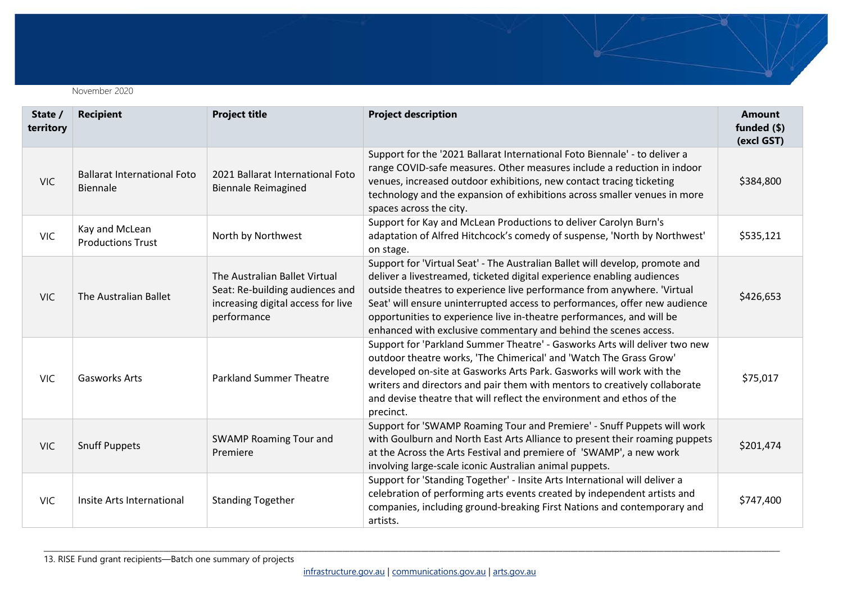

| State /<br>territory | <b>Recipient</b>                               | <b>Project title</b>                                                                                                  | <b>Project description</b>                                                                                                                                                                                                                                                                                                                                                                                                                                   | <b>Amount</b><br>funded $(\$)$<br>(excl GST) |
|----------------------|------------------------------------------------|-----------------------------------------------------------------------------------------------------------------------|--------------------------------------------------------------------------------------------------------------------------------------------------------------------------------------------------------------------------------------------------------------------------------------------------------------------------------------------------------------------------------------------------------------------------------------------------------------|----------------------------------------------|
| <b>VIC</b>           | <b>Ballarat International Foto</b><br>Biennale | 2021 Ballarat International Foto<br><b>Biennale Reimagined</b>                                                        | Support for the '2021 Ballarat International Foto Biennale' - to deliver a<br>range COVID-safe measures. Other measures include a reduction in indoor<br>venues, increased outdoor exhibitions, new contact tracing ticketing<br>technology and the expansion of exhibitions across smaller venues in more<br>spaces across the city.                                                                                                                        | \$384,800                                    |
| <b>VIC</b>           | Kay and McLean<br><b>Productions Trust</b>     | North by Northwest                                                                                                    | Support for Kay and McLean Productions to deliver Carolyn Burn's<br>adaptation of Alfred Hitchcock's comedy of suspense, 'North by Northwest'<br>on stage.                                                                                                                                                                                                                                                                                                   | \$535,121                                    |
| <b>VIC</b>           | The Australian Ballet                          | The Australian Ballet Virtual<br>Seat: Re-building audiences and<br>increasing digital access for live<br>performance | Support for 'Virtual Seat' - The Australian Ballet will develop, promote and<br>deliver a livestreamed, ticketed digital experience enabling audiences<br>outside theatres to experience live performance from anywhere. 'Virtual<br>Seat' will ensure uninterrupted access to performances, offer new audience<br>opportunities to experience live in-theatre performances, and will be<br>enhanced with exclusive commentary and behind the scenes access. | \$426,653                                    |
| <b>VIC</b>           | <b>Gasworks Arts</b>                           | <b>Parkland Summer Theatre</b>                                                                                        | Support for 'Parkland Summer Theatre' - Gasworks Arts will deliver two new<br>outdoor theatre works, 'The Chimerical' and 'Watch The Grass Grow'<br>developed on-site at Gasworks Arts Park. Gasworks will work with the<br>writers and directors and pair them with mentors to creatively collaborate<br>and devise theatre that will reflect the environment and ethos of the<br>precinct.                                                                 | \$75,017                                     |
| <b>VIC</b>           | <b>Snuff Puppets</b>                           | SWAMP Roaming Tour and<br>Premiere                                                                                    | Support for 'SWAMP Roaming Tour and Premiere' - Snuff Puppets will work<br>with Goulburn and North East Arts Alliance to present their roaming puppets<br>at the Across the Arts Festival and premiere of 'SWAMP', a new work<br>involving large-scale iconic Australian animal puppets.                                                                                                                                                                     | \$201,474                                    |
| <b>VIC</b>           | Insite Arts International                      | <b>Standing Together</b>                                                                                              | Support for 'Standing Together' - Insite Arts International will deliver a<br>celebration of performing arts events created by independent artists and<br>companies, including ground-breaking First Nations and contemporary and<br>artists.                                                                                                                                                                                                                | \$747,400                                    |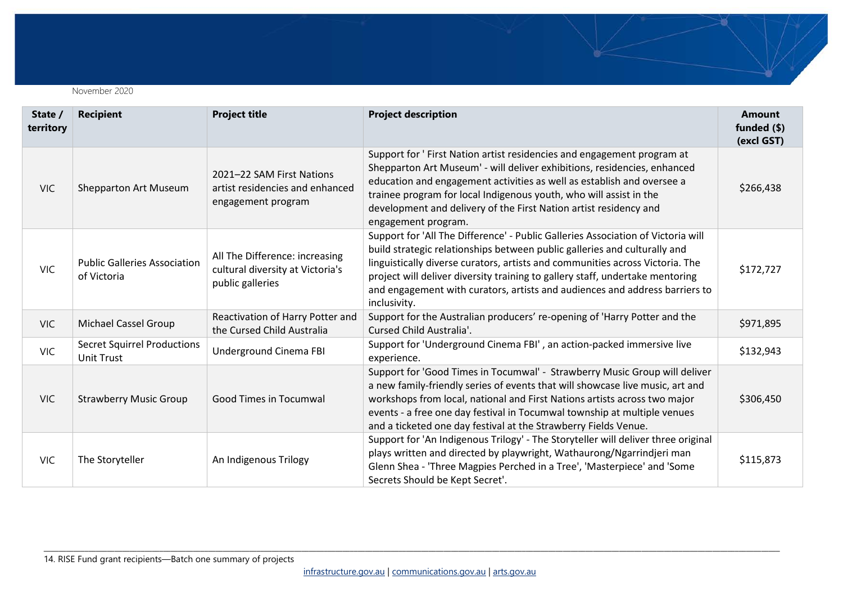

| State /<br>territory | <b>Recipient</b>                                        | <b>Project title</b>                                                                   | <b>Project description</b>                                                                                                                                                                                                                                                                                                                                                                                                     | <b>Amount</b><br>funded $(\$)$<br>(excl GST) |
|----------------------|---------------------------------------------------------|----------------------------------------------------------------------------------------|--------------------------------------------------------------------------------------------------------------------------------------------------------------------------------------------------------------------------------------------------------------------------------------------------------------------------------------------------------------------------------------------------------------------------------|----------------------------------------------|
| <b>VIC</b>           | <b>Shepparton Art Museum</b>                            | 2021-22 SAM First Nations<br>artist residencies and enhanced<br>engagement program     | Support for ' First Nation artist residencies and engagement program at<br>Shepparton Art Museum' - will deliver exhibitions, residencies, enhanced<br>education and engagement activities as well as establish and oversee a<br>trainee program for local Indigenous youth, who will assist in the<br>development and delivery of the First Nation artist residency and<br>engagement program.                                | \$266,438                                    |
| <b>VIC</b>           | <b>Public Galleries Association</b><br>of Victoria      | All The Difference: increasing<br>cultural diversity at Victoria's<br>public galleries | Support for 'All The Difference' - Public Galleries Association of Victoria will<br>build strategic relationships between public galleries and culturally and<br>linguistically diverse curators, artists and communities across Victoria. The<br>project will deliver diversity training to gallery staff, undertake mentoring<br>and engagement with curators, artists and audiences and address barriers to<br>inclusivity. | \$172,727                                    |
| <b>VIC</b>           | <b>Michael Cassel Group</b>                             | Reactivation of Harry Potter and<br>the Cursed Child Australia                         | Support for the Australian producers' re-opening of 'Harry Potter and the<br>Cursed Child Australia'.                                                                                                                                                                                                                                                                                                                          | \$971,895                                    |
| <b>VIC</b>           | <b>Secret Squirrel Productions</b><br><b>Unit Trust</b> | Underground Cinema FBI                                                                 | Support for 'Underground Cinema FBI', an action-packed immersive live<br>experience.                                                                                                                                                                                                                                                                                                                                           | \$132,943                                    |
| <b>VIC</b>           | <b>Strawberry Music Group</b>                           | <b>Good Times in Tocumwal</b>                                                          | Support for 'Good Times in Tocumwal' - Strawberry Music Group will deliver<br>a new family-friendly series of events that will showcase live music, art and<br>workshops from local, national and First Nations artists across two major<br>events - a free one day festival in Tocumwal township at multiple venues<br>and a ticketed one day festival at the Strawberry Fields Venue.                                        | \$306,450                                    |
| <b>VIC</b>           | The Storyteller                                         | An Indigenous Trilogy                                                                  | Support for 'An Indigenous Trilogy' - The Storyteller will deliver three original<br>plays written and directed by playwright, Wathaurong/Ngarrindjeri man<br>Glenn Shea - 'Three Magpies Perched in a Tree', 'Masterpiece' and 'Some<br>Secrets Should be Kept Secret'.                                                                                                                                                       | \$115,873                                    |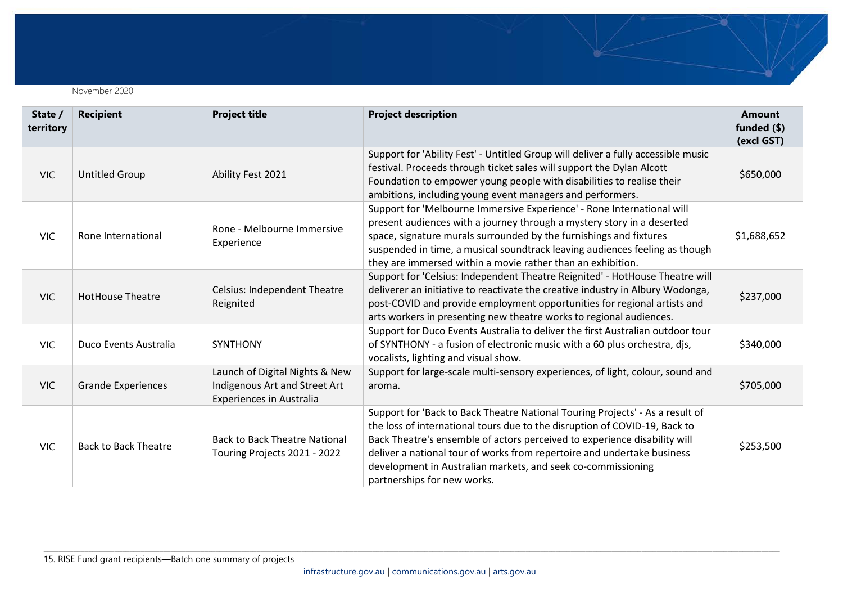

| State /<br>territory | <b>Recipient</b>            | <b>Project title</b>                                                                               | <b>Project description</b>                                                                                                                                                                                                                                                                                                                                                                                         | <b>Amount</b><br>funded $(\$)$<br>(excl GST) |
|----------------------|-----------------------------|----------------------------------------------------------------------------------------------------|--------------------------------------------------------------------------------------------------------------------------------------------------------------------------------------------------------------------------------------------------------------------------------------------------------------------------------------------------------------------------------------------------------------------|----------------------------------------------|
| <b>VIC</b>           | <b>Untitled Group</b>       | Ability Fest 2021                                                                                  | Support for 'Ability Fest' - Untitled Group will deliver a fully accessible music<br>festival. Proceeds through ticket sales will support the Dylan Alcott<br>Foundation to empower young people with disabilities to realise their<br>ambitions, including young event managers and performers.                                                                                                                   | \$650,000                                    |
| <b>VIC</b>           | Rone International          | Rone - Melbourne Immersive<br>Experience                                                           | Support for 'Melbourne Immersive Experience' - Rone International will<br>present audiences with a journey through a mystery story in a deserted<br>space, signature murals surrounded by the furnishings and fixtures<br>suspended in time, a musical soundtrack leaving audiences feeling as though<br>they are immersed within a movie rather than an exhibition.                                               | \$1,688,652                                  |
| VIC.                 | <b>HotHouse Theatre</b>     | <b>Celsius: Independent Theatre</b><br>Reignited                                                   | Support for 'Celsius: Independent Theatre Reignited' - HotHouse Theatre will<br>deliverer an initiative to reactivate the creative industry in Albury Wodonga,<br>post-COVID and provide employment opportunities for regional artists and<br>arts workers in presenting new theatre works to regional audiences.                                                                                                  | \$237,000                                    |
| <b>VIC</b>           | Duco Events Australia       | <b>SYNTHONY</b>                                                                                    | Support for Duco Events Australia to deliver the first Australian outdoor tour<br>of SYNTHONY - a fusion of electronic music with a 60 plus orchestra, djs,<br>vocalists, lighting and visual show.                                                                                                                                                                                                                | \$340,000                                    |
| <b>VIC</b>           | <b>Grande Experiences</b>   | Launch of Digital Nights & New<br>Indigenous Art and Street Art<br><b>Experiences in Australia</b> | Support for large-scale multi-sensory experiences, of light, colour, sound and<br>aroma.                                                                                                                                                                                                                                                                                                                           | \$705,000                                    |
| <b>VIC</b>           | <b>Back to Back Theatre</b> | <b>Back to Back Theatre National</b><br>Touring Projects 2021 - 2022                               | Support for 'Back to Back Theatre National Touring Projects' - As a result of<br>the loss of international tours due to the disruption of COVID-19, Back to<br>Back Theatre's ensemble of actors perceived to experience disability will<br>deliver a national tour of works from repertoire and undertake business<br>development in Australian markets, and seek co-commissioning<br>partnerships for new works. | \$253,500                                    |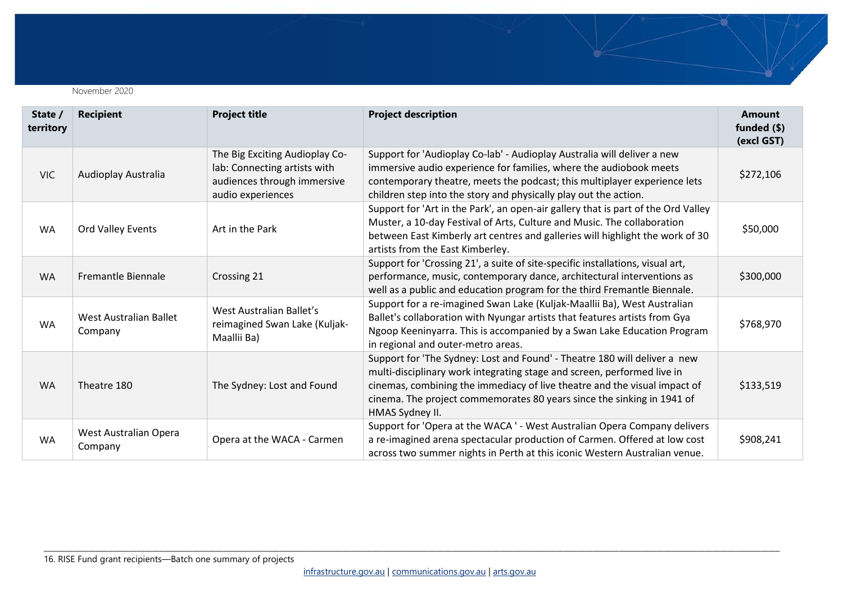

| State /<br>territory | <b>Recipient</b>                  | <b>Project title</b>                                                                                               | <b>Project description</b>                                                                                                                                                                                                                                                                                                     | <b>Amount</b><br>funded (\$)<br>(excl GST) |
|----------------------|-----------------------------------|--------------------------------------------------------------------------------------------------------------------|--------------------------------------------------------------------------------------------------------------------------------------------------------------------------------------------------------------------------------------------------------------------------------------------------------------------------------|--------------------------------------------|
| <b>VIC</b>           | Audioplay Australia               | The Big Exciting Audioplay Co-<br>lab: Connecting artists with<br>audiences through immersive<br>audio experiences | Support for 'Audioplay Co-lab' - Audioplay Australia will deliver a new<br>immersive audio experience for families, where the audiobook meets<br>contemporary theatre, meets the podcast; this multiplayer experience lets<br>children step into the story and physically play out the action.                                 | \$272,106                                  |
| <b>WA</b>            | Ord Valley Events                 | Art in the Park                                                                                                    | Support for 'Art in the Park', an open-air gallery that is part of the Ord Valley<br>Muster, a 10-day Festival of Arts, Culture and Music. The collaboration<br>between East Kimberly art centres and galleries will highlight the work of 30<br>artists from the East Kimberley.                                              | \$50,000                                   |
| <b>WA</b>            | <b>Fremantle Biennale</b>         | Crossing 21                                                                                                        | Support for 'Crossing 21', a suite of site-specific installations, visual art,<br>performance, music, contemporary dance, architectural interventions as<br>well as a public and education program for the third Fremantle Biennale.                                                                                           | \$300,000                                  |
| <b>WA</b>            | West Australian Ballet<br>Company | West Australian Ballet's<br>reimagined Swan Lake (Kuljak-<br>Maallii Ba)                                           | Support for a re-imagined Swan Lake (Kuljak-Maallii Ba), West Australian<br>Ballet's collaboration with Nyungar artists that features artists from Gya<br>Ngoop Keeninyarra. This is accompanied by a Swan Lake Education Program<br>in regional and outer-metro areas.                                                        | \$768,970                                  |
| <b>WA</b>            | Theatre 180                       | The Sydney: Lost and Found                                                                                         | Support for 'The Sydney: Lost and Found' - Theatre 180 will deliver a new<br>multi-disciplinary work integrating stage and screen, performed live in<br>cinemas, combining the immediacy of live theatre and the visual impact of<br>cinema. The project commemorates 80 years since the sinking in 1941 of<br>HMAS Sydney II. | \$133,519                                  |
| <b>WA</b>            | West Australian Opera<br>Company  | Opera at the WACA - Carmen                                                                                         | Support for 'Opera at the WACA ' - West Australian Opera Company delivers<br>a re-imagined arena spectacular production of Carmen. Offered at low cost<br>across two summer nights in Perth at this iconic Western Australian venue.                                                                                           | \$908,241                                  |